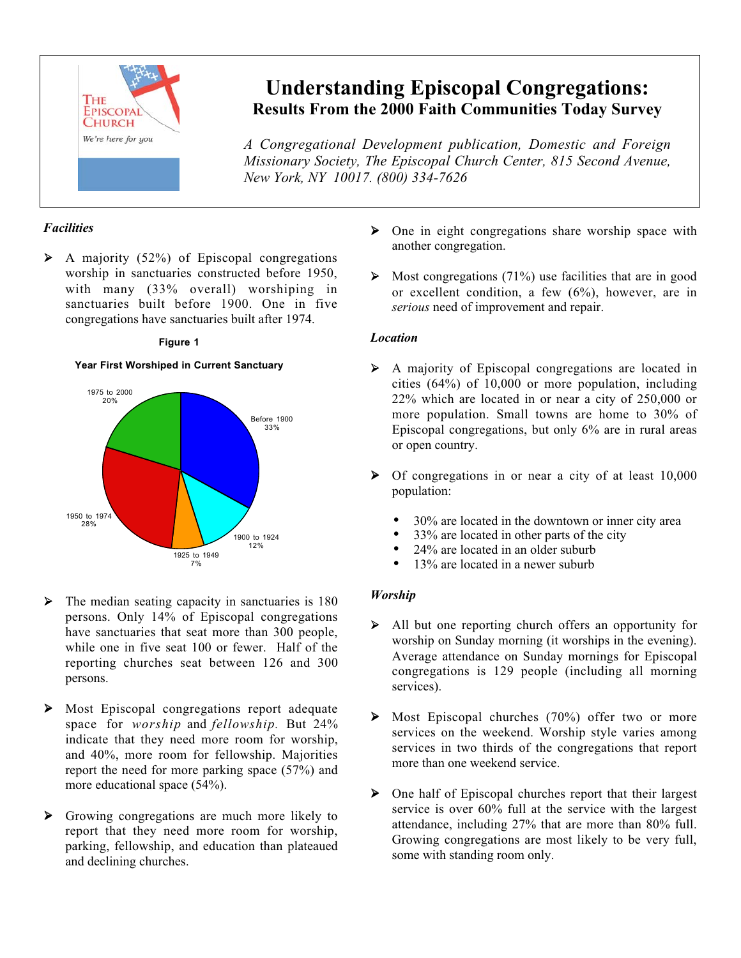

## **Understanding Episcopal Congregations: Results From the 2000 Faith Communities Today Survey**

*A Congregational Development publication, Domestic and Foreign Missionary Society, The Episcopal Church Center, 815 Second Avenue, New York, NY 10017. (800) 334-7626*

### *Facilities*

 $\triangleright$  A majority (52%) of Episcopal congregations worship in sanctuaries constructed before 1950, with many (33% overall) worshiping in sanctuaries built before 1900. One in five congregations have sanctuaries built after 1974.



#### **Figure 1 Figure 1**

# another congregation.

 $\triangleright$  One in eight congregations share worship space with

 $\triangleright$  Most congregations (71%) use facilities that are in good or excellent condition, a few (6%), however, are in *serious* need of improvement and repair.

#### *Location*

- A majority of Episcopal congregations are located in cities (64%) of 10,000 or more population, including 22% which are located in or near a city of 250,000 or more population. Small towns are home to 30% of Episcopal congregations, but only 6% are in rural areas or open country.
- Of congregations in or near a city of at least 10,000 population:
	- 30% are located in the downtown or inner city area
	- 33% are located in other parts of the city
	- 24% are located in an older suburb
	- 13% are located in a newer suburb

#### *Worship*

- All but one reporting church offers an opportunity for worship on Sunday morning (it worships in the evening). Average attendance on Sunday mornings for Episcopal congregations is 129 people (including all morning services).
- $\triangleright$  Most Episcopal churches (70%) offer two or more services on the weekend. Worship style varies among services in two thirds of the congregations that report more than one weekend service.
- One half of Episcopal churches report that their largest service is over 60% full at the service with the largest attendance, including 27% that are more than 80% full. Growing congregations are most likely to be very full, some with standing room only.
- The median seating capacity in sanctuaries is 180 persons. Only 14% of Episcopal congregations have sanctuaries that seat more than 300 people, while one in five seat 100 or fewer. Half of the reporting churches seat between 126 and 300 persons.
- Most Episcopal congregations report adequate space for *worship* and *fellowship.* But 24% indicate that they need more room for worship, and 40%, more room for fellowship. Majorities report the need for more parking space (57%) and more educational space (54%).
- Growing congregations are much more likely to report that they need more room for worship, parking, fellowship, and education than plateaued and declining churches.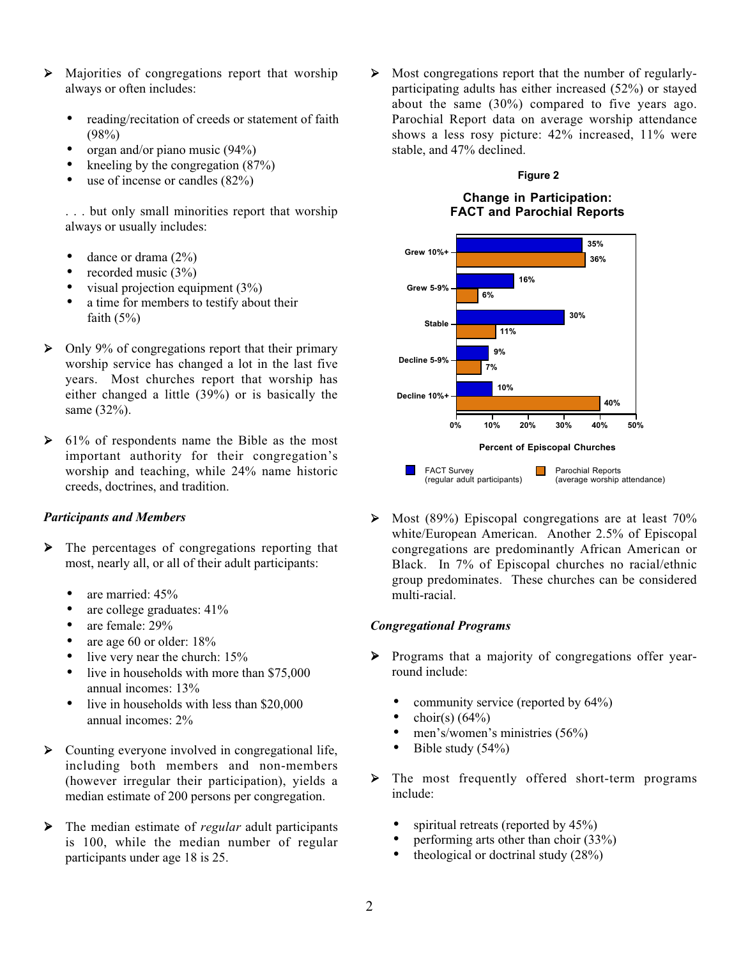- Majorities of congregations report that worship always or often includes:
	- reading/recitation of creeds or statement of faith  $(98%)$
	- organ and/or piano music  $(94\%)$
	- kneeling by the congregation  $(87%)$
	- use of incense or candles  $(82%)$

. . . but only small minorities report that worship always or usually includes:

- dance or drama  $(2\%)$
- recorded music (3%)
- visual projection equipment  $(3%)$
- a time for members to testify about their faith  $(5%)$
- $\triangleright$  Only 9% of congregations report that their primary worship service has changed a lot in the last five years. Most churches report that worship has either changed a little (39%) or is basically the same (32%).
- $\triangleright$  61% of respondents name the Bible as the most important authority for their congregation's worship and teaching, while 24% name historic creeds, doctrines, and tradition.

#### *Participants and Members*

- $\triangleright$  The percentages of congregations reporting that most, nearly all, or all of their adult participants:
	- are married: 45%
	- are college graduates: 41%
	- are female: 29%
	- are age 60 or older: 18%
	- live very near the church:  $15%$
	- live in households with more than \$75,000 annual incomes: 13%
	- live in households with less than \$20,000 annual incomes: 2%
- $\triangleright$  Counting everyone involved in congregational life, including both members and non-members (however irregular their participation), yields a median estimate of 200 persons per congregation.
- The median estimate of *regular* adult participants is 100, while the median number of regular participants under age 18 is 25.

 $\triangleright$  Most congregations report that the number of regularlyparticipating adults has either increased (52%) or stayed about the same (30%) compared to five years ago. Parochial Report data on average worship attendance shows a less rosy picture: 42% increased, 11% were stable, and 47% declined.

#### **Figure 2**

#### **Change in Participation: FACT and Parochial Reports**



 $\triangleright$  Most (89%) Episcopal congregations are at least 70% white/European American. Another 2.5% of Episcopal congregations are predominantly African American or Black. In 7% of Episcopal churches no racial/ethnic group predominates. These churches can be considered multi-racial.

#### *Congregational Programs*

- Programs that a majority of congregations offer yearround include:
	- community service (reported by  $64\%$ )
	- choir(s)  $(64\%)$
	- men's/women's ministries (56%)
	- Bible study  $(54\%)$
- > The most frequently offered short-term programs include:
	- spiritual retreats (reported by  $45\%$ )
	- performing arts other than choir (33%)
	- theological or doctrinal study  $(28%)$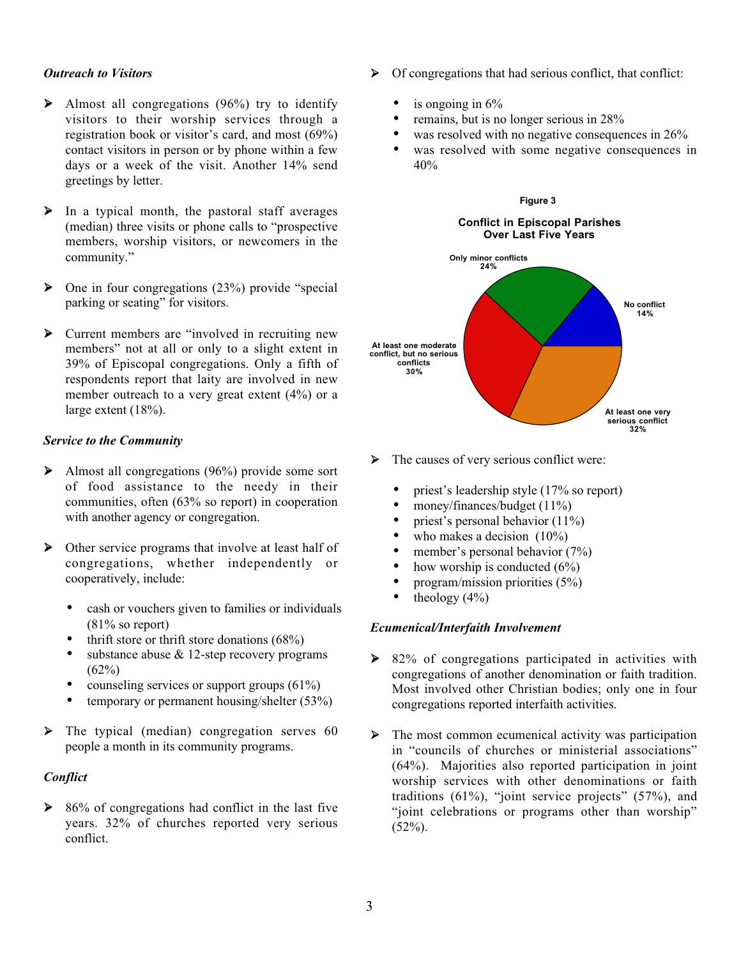#### *Outreach to Visitors*

- $\blacktriangleright$  Almost all congregations (96%) try to identify visitors to their worship services through a registration book or visitor's card, and most (69%) contact visitors in person or by phone within a few days or a week of the visit. Another 14% send greetings by letter.
- $\triangleright$  In a typical month, the pastoral staff averages (median) three visits or phone calls to "prospective members, worship visitors, or newcomers in the community."
- $\triangleright$  One in four congregations (23%) provide "special parking or seating" for visitors.
- Current members are "involved in recruiting new members" not at all or only to a slight extent in 39% of Episcopal congregations. Only a fifth of respondents report that laity are involved in new member outreach to a very great extent (4%) or a large extent (18%).

#### *Service to the Community*

- Almost all congregations (96%) provide some sort of food assistance to the needy in their communities, often (63% so report) in cooperation with another agency or congregation.
- Other service programs that involve at least half of congregations, whether independently or cooperatively, include:
	- cash or vouchers given to families or individuals (81% so report)
	- thrift store or thrift store donations  $(68\%)$
	- substance abuse  $\&$  12-step recovery programs  $(62%)$
	- counseling services or support groups  $(61\%)$
	- temporary or permanent housing/shelter (53%)
- The typical (median) congregation serves 60 people a month in its community programs.

#### *Conflict*

 $\triangleright$  86% of congregations had conflict in the last five years. 32% of churches reported very serious conflict.

- $\triangleright$  Of congregations that had serious conflict, that conflict:
	- is ongoing in  $6\%$
	- remains, but is no longer serious in 28%
	- was resolved with no negative consequences in  $26\%$
	- was resolved with some negative consequences in 40%



- $\triangleright$  The causes of very serious conflict were:
	- priest's leadership style (17% so report)
	- money/finances/budget  $(11\%)$
	- priest's personal behavior  $(11\%)$
	- who makes a decision  $(10\%)$
	- member's personal behavior  $(7%)$
	- how worship is conducted  $(6\%)$
	- program/mission priorities (5%)
	- theology  $(4\%)$

#### *Ecumenical/Interfaith Involvement*

- ▶ 82% of congregations participated in activities with congregations of another denomination or faith tradition. Most involved other Christian bodies; only one in four congregations reported interfaith activities.
- $\triangleright$  The most common ecumenical activity was participation in "councils of churches or ministerial associations" (64%). Majorities also reported participation in joint worship services with other denominations or faith traditions  $(61\%)$ , "joint service projects"  $(57\%)$ , and "joint celebrations or programs other than worship"  $(52\%)$ .